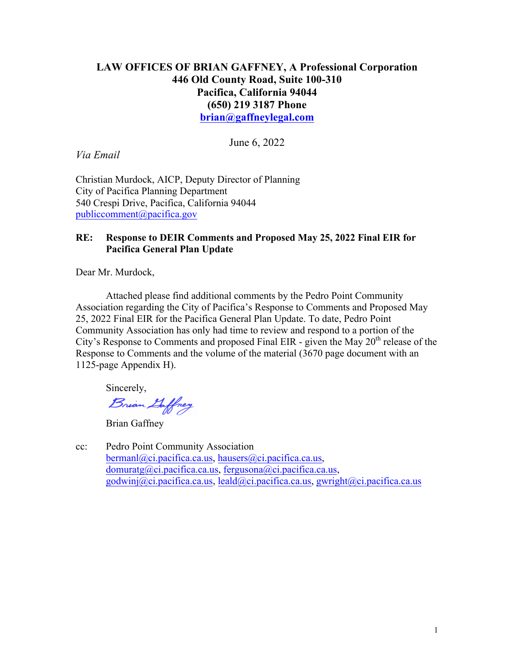# **LAW OFFICES OF BRIAN GAFFNEY, A Professional Corporation 446 Old County Road, Suite 100-310 Pacifica, California 94044 (650) 219 3187 Phone brian@gaffneylegal.com**

June 6, 2022

*Via Email*

Christian Murdock, AICP, Deputy Director of Planning City of Pacifica Planning Department 540 Crespi Drive, Pacifica, California 94044 publiccomment@pacifica.gov

# **RE: Response to DEIR Comments and Proposed May 25, 2022 Final EIR for Pacifica General Plan Update**

Dear Mr. Murdock,

Attached please find additional comments by the Pedro Point Community Association regarding the City of Pacifica's Response to Comments and Proposed May 25, 2022 Final EIR for the Pacifica General Plan Update. To date, Pedro Point Community Association has only had time to review and respond to a portion of the City's Response to Comments and proposed Final EIR - given the May 20<sup>th</sup> release of the Response to Comments and the volume of the material (3670 page document with an 1125-page Appendix H).

Sincerely,

Brian Laffney

Brian Gaffney

cc: Pedro Point Community Association  $bernan la$ )  $\alpha$  i.pacifica.ca.us, hausers  $\alpha$  ci.pacifica.ca.us,  $domuratg@ci.pacifica.ca.us, fergusona@ci.pacifica.ca.us,$ godwinj@ci.pacifica.ca.us, leald@ci.pacifica.ca.us, gwright@ci.pacifica.ca.us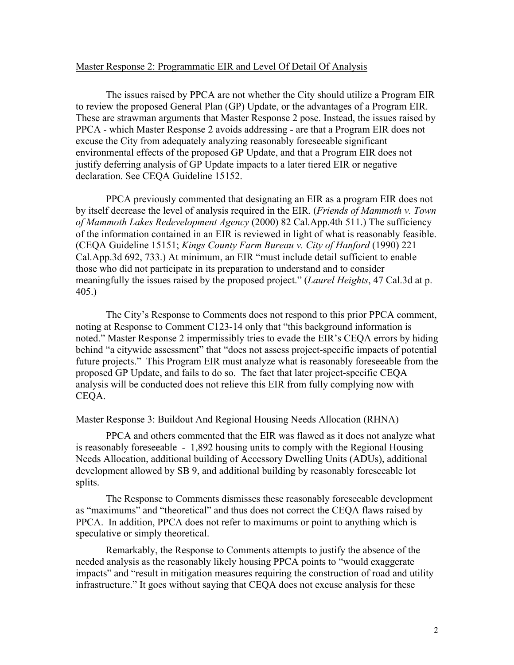## Master Response 2: Programmatic EIR and Level Of Detail Of Analysis

The issues raised by PPCA are not whether the City should utilize a Program EIR to review the proposed General Plan (GP) Update, or the advantages of a Program EIR. These are strawman arguments that Master Response 2 pose. Instead, the issues raised by PPCA - which Master Response 2 avoids addressing - are that a Program EIR does not excuse the City from adequately analyzing reasonably foreseeable significant environmental effects of the proposed GP Update, and that a Program EIR does not justify deferring analysis of GP Update impacts to a later tiered EIR or negative declaration. See CEQA Guideline 15152.

PPCA previously commented that designating an EIR as a program EIR does not by itself decrease the level of analysis required in the EIR. (*Friends of Mammoth v. Town of Mammoth Lakes Redevelopment Agency* (2000) 82 Cal.App.4th 511.) The sufficiency of the information contained in an EIR is reviewed in light of what is reasonably feasible. (CEQA Guideline 15151; *Kings County Farm Bureau v. City of Hanford* (1990) 221 Cal.App.3d 692, 733.) At minimum, an EIR "must include detail sufficient to enable those who did not participate in its preparation to understand and to consider meaningfully the issues raised by the proposed project." (*Laurel Heights*, 47 Cal.3d at p. 405.)

The City's Response to Comments does not respond to this prior PPCA comment, noting at Response to Comment C123-14 only that "this background information is noted." Master Response 2 impermissibly tries to evade the EIR's CEQA errors by hiding behind "a citywide assessment" that "does not assess project-specific impacts of potential future projects." This Program EIR must analyze what is reasonably foreseeable from the proposed GP Update, and fails to do so. The fact that later project-specific CEQA analysis will be conducted does not relieve this EIR from fully complying now with CEQA.

#### Master Response 3: Buildout And Regional Housing Needs Allocation (RHNA)

PPCA and others commented that the EIR was flawed as it does not analyze what is reasonably foreseeable - 1,892 housing units to comply with the Regional Housing Needs Allocation, additional building of Accessory Dwelling Units (ADUs), additional development allowed by SB 9, and additional building by reasonably foreseeable lot splits.

The Response to Comments dismisses these reasonably foreseeable development as "maximums" and "theoretical" and thus does not correct the CEQA flaws raised by PPCA. In addition, PPCA does not refer to maximums or point to anything which is speculative or simply theoretical.

Remarkably, the Response to Comments attempts to justify the absence of the needed analysis as the reasonably likely housing PPCA points to "would exaggerate impacts" and "result in mitigation measures requiring the construction of road and utility infrastructure." It goes without saying that CEQA does not excuse analysis for these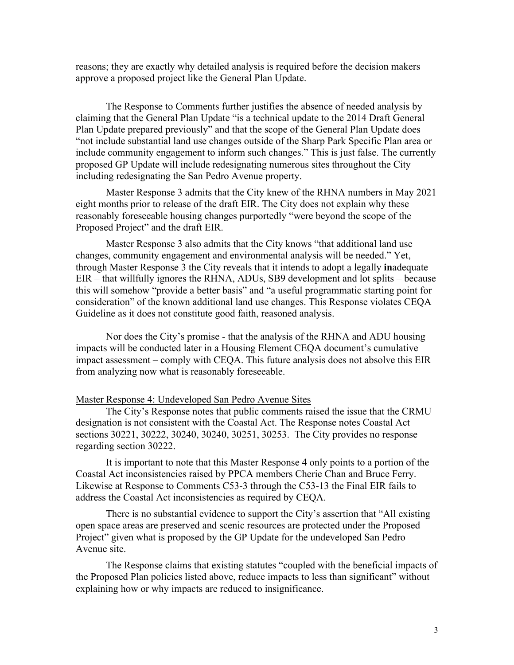reasons; they are exactly why detailed analysis is required before the decision makers approve a proposed project like the General Plan Update.

The Response to Comments further justifies the absence of needed analysis by claiming that the General Plan Update "is a technical update to the 2014 Draft General Plan Update prepared previously" and that the scope of the General Plan Update does "not include substantial land use changes outside of the Sharp Park Specific Plan area or include community engagement to inform such changes." This is just false. The currently proposed GP Update will include redesignating numerous sites throughout the City including redesignating the San Pedro Avenue property.

Master Response 3 admits that the City knew of the RHNA numbers in May 2021 eight months prior to release of the draft EIR. The City does not explain why these reasonably foreseeable housing changes purportedly "were beyond the scope of the Proposed Project" and the draft EIR.

Master Response 3 also admits that the City knows "that additional land use changes, community engagement and environmental analysis will be needed." Yet, through Master Response 3 the City reveals that it intends to adopt a legally **in**adequate EIR – that willfully ignores the RHNA, ADUs, SB9 development and lot splits – because this will somehow "provide a better basis" and "a useful programmatic starting point for consideration" of the known additional land use changes. This Response violates CEQA Guideline as it does not constitute good faith, reasoned analysis.

Nor does the City's promise - that the analysis of the RHNA and ADU housing impacts will be conducted later in a Housing Element CEQA document's cumulative impact assessment – comply with CEQA. This future analysis does not absolve this EIR from analyzing now what is reasonably foreseeable.

#### Master Response 4: Undeveloped San Pedro Avenue Sites

The City's Response notes that public comments raised the issue that the CRMU designation is not consistent with the Coastal Act. The Response notes Coastal Act sections 30221, 30222, 30240, 30240, 30251, 30253. The City provides no response regarding section 30222.

It is important to note that this Master Response 4 only points to a portion of the Coastal Act inconsistencies raised by PPCA members Cherie Chan and Bruce Ferry. Likewise at Response to Comments C53-3 through the C53-13 the Final EIR fails to address the Coastal Act inconsistencies as required by CEQA.

There is no substantial evidence to support the City's assertion that "All existing open space areas are preserved and scenic resources are protected under the Proposed Project" given what is proposed by the GP Update for the undeveloped San Pedro Avenue site.

The Response claims that existing statutes "coupled with the beneficial impacts of the Proposed Plan policies listed above, reduce impacts to less than significant" without explaining how or why impacts are reduced to insignificance.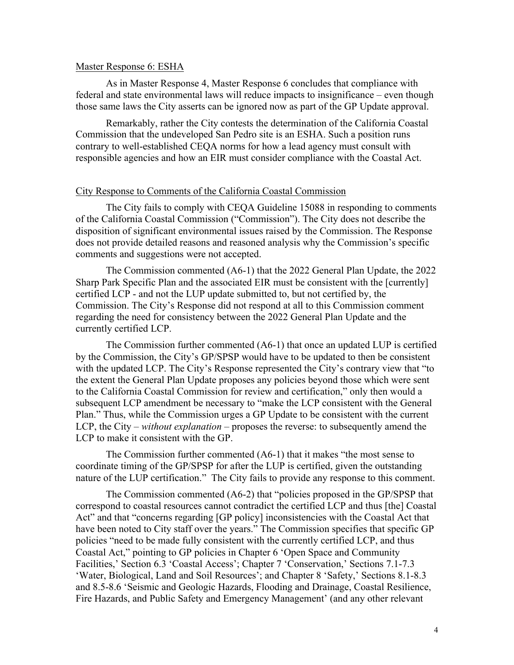#### Master Response 6: ESHA

As in Master Response 4, Master Response 6 concludes that compliance with federal and state environmental laws will reduce impacts to insignificance – even though those same laws the City asserts can be ignored now as part of the GP Update approval.

Remarkably, rather the City contests the determination of the California Coastal Commission that the undeveloped San Pedro site is an ESHA. Such a position runs contrary to well-established CEQA norms for how a lead agency must consult with responsible agencies and how an EIR must consider compliance with the Coastal Act.

## City Response to Comments of the California Coastal Commission

The City fails to comply with CEQA Guideline 15088 in responding to comments of the California Coastal Commission ("Commission"). The City does not describe the disposition of significant environmental issues raised by the Commission. The Response does not provide detailed reasons and reasoned analysis why the Commission's specific comments and suggestions were not accepted.

The Commission commented (A6-1) that the 2022 General Plan Update, the 2022 Sharp Park Specific Plan and the associated EIR must be consistent with the [currently] certified LCP - and not the LUP update submitted to, but not certified by, the Commission. The City's Response did not respond at all to this Commission comment regarding the need for consistency between the 2022 General Plan Update and the currently certified LCP.

The Commission further commented (A6-1) that once an updated LUP is certified by the Commission, the City's GP/SPSP would have to be updated to then be consistent with the updated LCP. The City's Response represented the City's contrary view that "to the extent the General Plan Update proposes any policies beyond those which were sent to the California Coastal Commission for review and certification," only then would a subsequent LCP amendment be necessary to "make the LCP consistent with the General Plan." Thus, while the Commission urges a GP Update to be consistent with the current LCP, the City – *without explanation* – proposes the reverse: to subsequently amend the LCP to make it consistent with the GP.

The Commission further commented (A6-1) that it makes "the most sense to coordinate timing of the GP/SPSP for after the LUP is certified, given the outstanding nature of the LUP certification." The City fails to provide any response to this comment.

The Commission commented (A6-2) that "policies proposed in the GP/SPSP that correspond to coastal resources cannot contradict the certified LCP and thus [the] Coastal Act" and that "concerns regarding [GP policy] inconsistencies with the Coastal Act that have been noted to City staff over the years." The Commission specifies that specific GP policies "need to be made fully consistent with the currently certified LCP, and thus Coastal Act," pointing to GP policies in Chapter 6 'Open Space and Community Facilities,' Section 6.3 'Coastal Access'; Chapter 7 'Conservation,' Sections 7.1-7.3 'Water, Biological, Land and Soil Resources'; and Chapter 8 'Safety,' Sections 8.1-8.3 and 8.5-8.6 'Seismic and Geologic Hazards, Flooding and Drainage, Coastal Resilience, Fire Hazards, and Public Safety and Emergency Management' (and any other relevant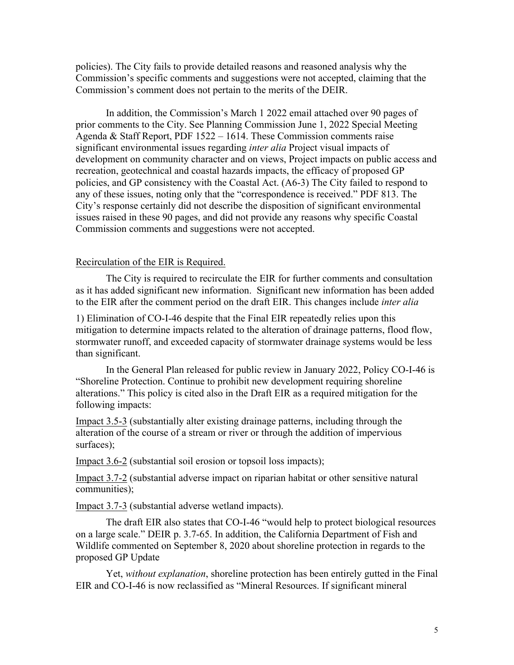policies). The City fails to provide detailed reasons and reasoned analysis why the Commission's specific comments and suggestions were not accepted, claiming that the Commission's comment does not pertain to the merits of the DEIR.

In addition, the Commission's March 1 2022 email attached over 90 pages of prior comments to the City. See Planning Commission June 1, 2022 Special Meeting Agenda & Staff Report, PDF 1522 – 1614. These Commission comments raise significant environmental issues regarding *inter alia* Project visual impacts of development on community character and on views, Project impacts on public access and recreation, geotechnical and coastal hazards impacts, the efficacy of proposed GP policies, and GP consistency with the Coastal Act. (A6-3) The City failed to respond to any of these issues, noting only that the "correspondence is received." PDF 813. The City's response certainly did not describe the disposition of significant environmental issues raised in these 90 pages, and did not provide any reasons why specific Coastal Commission comments and suggestions were not accepted.

#### Recirculation of the EIR is Required.

The City is required to recirculate the EIR for further comments and consultation as it has added significant new information. Significant new information has been added to the EIR after the comment period on the draft EIR. This changes include *inter alia*

1) Elimination of CO-I-46 despite that the Final EIR repeatedly relies upon this mitigation to determine impacts related to the alteration of drainage patterns, flood flow, stormwater runoff, and exceeded capacity of stormwater drainage systems would be less than significant.

In the General Plan released for public review in January 2022, Policy CO-I-46 is "Shoreline Protection. Continue to prohibit new development requiring shoreline alterations." This policy is cited also in the Draft EIR as a required mitigation for the following impacts:

Impact 3.5-3 (substantially alter existing drainage patterns, including through the alteration of the course of a stream or river or through the addition of impervious surfaces);

Impact 3.6-2 (substantial soil erosion or topsoil loss impacts);

Impact 3.7-2 (substantial adverse impact on riparian habitat or other sensitive natural communities);

Impact 3.7-3 (substantial adverse wetland impacts).

The draft EIR also states that CO-I-46 "would help to protect biological resources on a large scale." DEIR p. 3.7-65. In addition, the California Department of Fish and Wildlife commented on September 8, 2020 about shoreline protection in regards to the proposed GP Update

Yet, *without explanation*, shoreline protection has been entirely gutted in the Final EIR and CO-I-46 is now reclassified as "Mineral Resources. If significant mineral